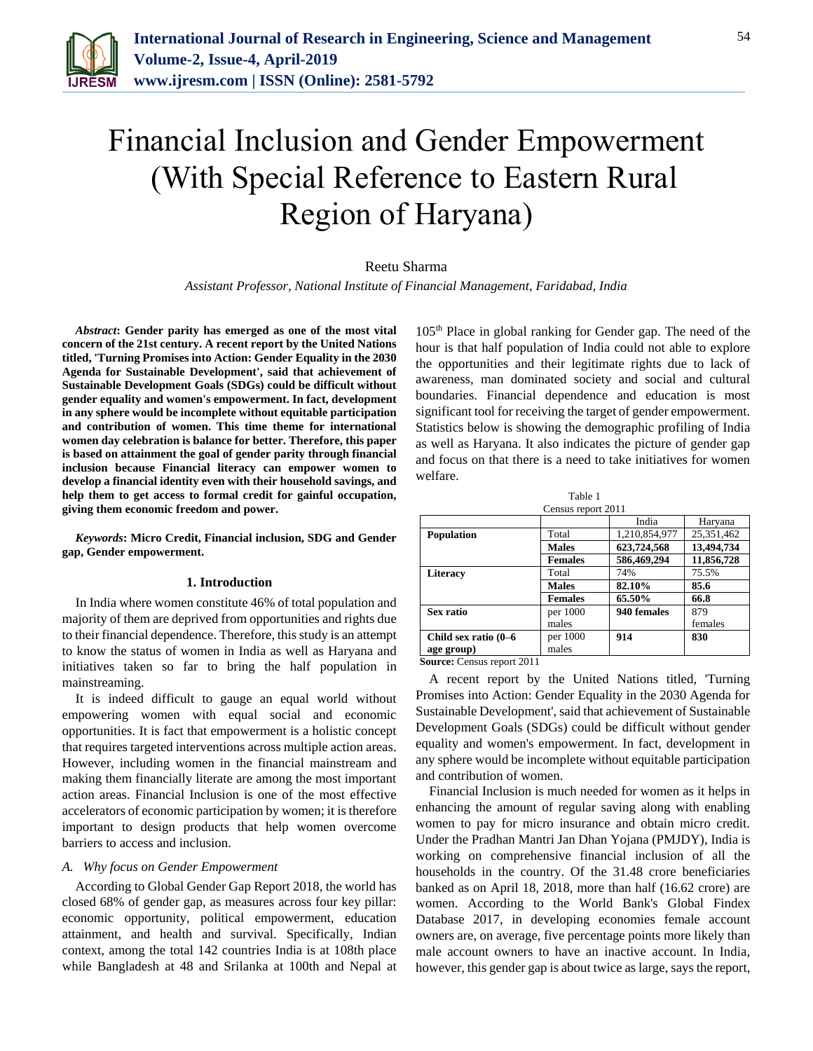

# Financial Inclusion and Gender Empowerment (With Special Reference to Eastern Rural Region of Haryana)

## Reetu Sharma

*Assistant Professor, National Institute of Financial Management, Faridabad, India*

*Abstract***: Gender parity has emerged as one of the most vital concern of the 21st century. A recent report by the United Nations titled, 'Turning Promises into Action: Gender Equality in the 2030 Agenda for Sustainable Development', said that achievement of Sustainable Development Goals (SDGs) could be difficult without gender equality and women's empowerment. In fact, development in any sphere would be incomplete without equitable participation and contribution of women. This time theme for international women day celebration is balance for better. Therefore, this paper is based on attainment the goal of gender parity through financial inclusion because Financial literacy can empower women to develop a financial identity even with their household savings, and help them to get access to formal credit for gainful occupation, giving them economic freedom and power.** 

*Keywords***: Micro Credit, Financial inclusion, SDG and Gender gap, Gender empowerment.**

## **1. Introduction**

In India where women constitute 46% of total population and majority of them are deprived from opportunities and rights due to their financial dependence. Therefore, this study is an attempt to know the status of women in India as well as Haryana and initiatives taken so far to bring the half population in mainstreaming.

It is indeed difficult to gauge an equal world without empowering women with equal social and economic opportunities. It is fact that empowerment is a holistic concept that requires targeted interventions across multiple action areas. However, including women in the financial mainstream and making them financially literate are among the most important action areas. Financial Inclusion is one of the most effective accelerators of economic participation by women; it is therefore important to design products that help women overcome barriers to access and inclusion.

#### *A. Why focus on Gender Empowerment*

According to Global Gender Gap Report 2018, the world has closed 68% of gender gap, as measures across four key pillar: economic opportunity, political empowerment, education attainment, and health and survival. Specifically, Indian context, among the total 142 countries India is at 108th place while Bangladesh at 48 and Srilanka at 100th and Nepal at

105th Place in global ranking for Gender gap. The need of the hour is that half population of India could not able to explore the opportunities and their legitimate rights due to lack of awareness, man dominated society and social and cultural boundaries. Financial dependence and education is most significant tool for receiving the target of gender empowerment. Statistics below is showing the demographic profiling of India as well as Haryana. It also indicates the picture of gender gap and focus on that there is a need to take initiatives for women welfare.

| Table 1              |                |               |            |
|----------------------|----------------|---------------|------------|
| Census report 2011   |                |               |            |
|                      |                | India         | Haryana    |
| <b>Population</b>    | Total          | 1,210,854,977 | 25,351,462 |
|                      | <b>Males</b>   | 623,724,568   | 13,494,734 |
|                      | <b>Females</b> | 586,469,294   | 11,856,728 |
| <b>Literacy</b>      | Total          | 74%           | 75.5%      |
|                      | <b>Males</b>   | 82.10%        | 85.6       |
|                      | <b>Females</b> | 65.50%        | 66.8       |
| Sex ratio            | per 1000       | 940 females   | 879        |
|                      | males          |               | females    |
| Child sex ratio (0–6 | per 1000       | 914           | 830        |
| age group)           | males          |               |            |

**Source:** Census report 2011

A recent report by the United Nations titled, 'Turning Promises into Action: Gender Equality in the 2030 Agenda for Sustainable Development', said that achievement of Sustainable Development Goals (SDGs) could be difficult without gender equality and women's empowerment. In fact, development in any sphere would be incomplete without equitable participation and contribution of women.

Financial Inclusion is much needed for women as it helps in enhancing the amount of regular saving along with enabling women to pay for micro insurance and obtain micro credit. Under the Pradhan Mantri Jan Dhan Yojana (PMJDY), India is working on comprehensive financial inclusion of all the households in the country. Of the 31.48 crore beneficiaries banked as on April 18, 2018, more than half (16.62 crore) are women. According to the World Bank's Global Findex Database 2017, in developing economies female account owners are, on average, five percentage points more likely than male account owners to have an inactive account. In India, however, this gender gap is about twice as large, says the report,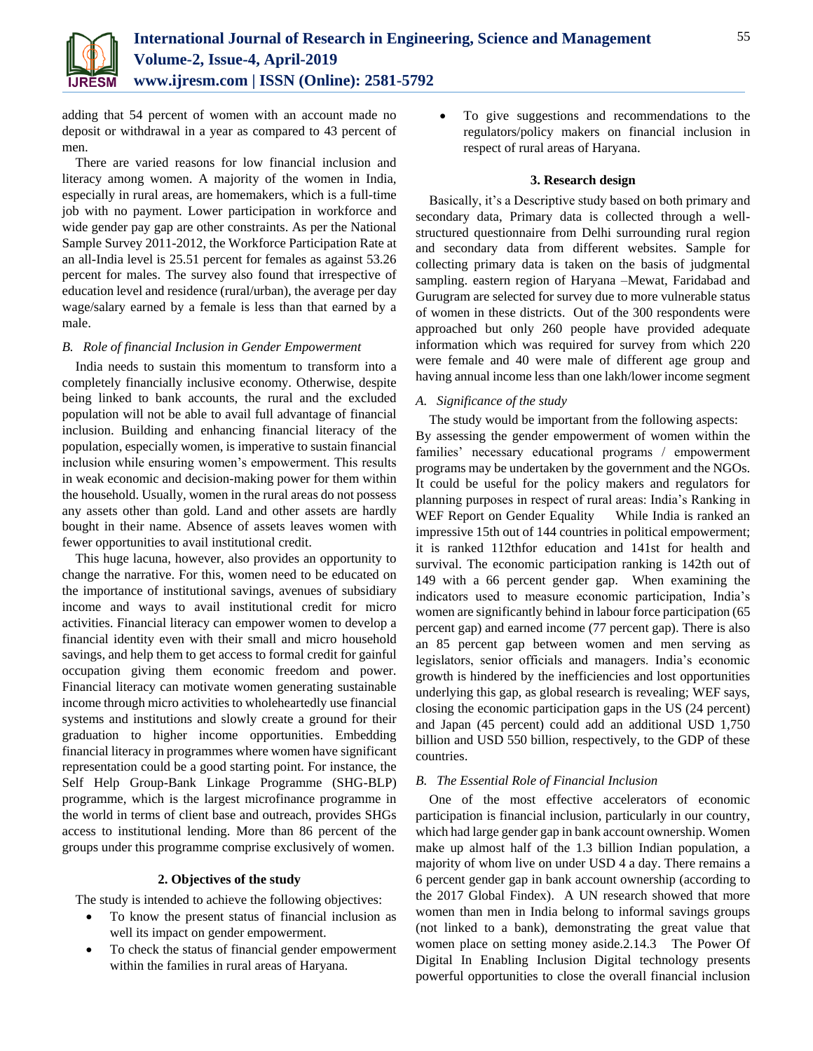

adding that 54 percent of women with an account made no deposit or withdrawal in a year as compared to 43 percent of men.

There are varied reasons for low financial inclusion and literacy among women. A majority of the women in India, especially in rural areas, are homemakers, which is a full-time job with no payment. Lower participation in workforce and wide gender pay gap are other constraints. As per the National Sample Survey 2011-2012, the Workforce Participation Rate at an all-India level is 25.51 percent for females as against 53.26 percent for males. The survey also found that irrespective of education level and residence (rural/urban), the average per day wage/salary earned by a female is less than that earned by a male.

#### *B. Role of financial Inclusion in Gender Empowerment*

India needs to sustain this momentum to transform into a completely financially inclusive economy. Otherwise, despite being linked to bank accounts, the rural and the excluded population will not be able to avail full advantage of financial inclusion. Building and enhancing financial literacy of the population, especially women, is imperative to sustain financial inclusion while ensuring women's empowerment. This results in weak economic and decision-making power for them within the household. Usually, women in the rural areas do not possess any assets other than gold. Land and other assets are hardly bought in their name. Absence of assets leaves women with fewer opportunities to avail institutional credit.

This huge lacuna, however, also provides an opportunity to change the narrative. For this, women need to be educated on the importance of institutional savings, avenues of subsidiary income and ways to avail institutional credit for micro activities. Financial literacy can empower women to develop a financial identity even with their small and micro household savings, and help them to get access to formal credit for gainful occupation giving them economic freedom and power. Financial literacy can motivate women generating sustainable income through micro activities to wholeheartedly use financial systems and institutions and slowly create a ground for their graduation to higher income opportunities. Embedding financial literacy in programmes where women have significant representation could be a good starting point. For instance, the Self Help Group-Bank Linkage Programme (SHG-BLP) programme, which is the largest microfinance programme in the world in terms of client base and outreach, provides SHGs access to institutional lending. More than 86 percent of the groups under this programme comprise exclusively of women.

#### **2. Objectives of the study**

The study is intended to achieve the following objectives:

- To know the present status of financial inclusion as well its impact on gender empowerment.
- To check the status of financial gender empowerment within the families in rural areas of Haryana.

 To give suggestions and recommendations to the regulators/policy makers on financial inclusion in respect of rural areas of Haryana.

#### **3. Research design**

Basically, it's a Descriptive study based on both primary and secondary data, Primary data is collected through a wellstructured questionnaire from Delhi surrounding rural region and secondary data from different websites. Sample for collecting primary data is taken on the basis of judgmental sampling. eastern region of Haryana –Mewat, Faridabad and Gurugram are selected for survey due to more vulnerable status of women in these districts. Out of the 300 respondents were approached but only 260 people have provided adequate information which was required for survey from which 220 were female and 40 were male of different age group and having annual income less than one lakh/lower income segment

## *A. Significance of the study*

The study would be important from the following aspects: By assessing the gender empowerment of women within the families' necessary educational programs / empowerment programs may be undertaken by the government and the NGOs. It could be useful for the policy makers and regulators for planning purposes in respect of rural areas: India's Ranking in WEF Report on Gender Equality While India is ranked an impressive 15th out of 144 countries in political empowerment; it is ranked 112thfor education and 141st for health and survival. The economic participation ranking is 142th out of 149 with a 66 percent gender gap. When examining the indicators used to measure economic participation, India's women are significantly behind in labour force participation (65 percent gap) and earned income (77 percent gap). There is also an 85 percent gap between women and men serving as legislators, senior officials and managers. India's economic growth is hindered by the inefficiencies and lost opportunities underlying this gap, as global research is revealing; WEF says, closing the economic participation gaps in the US (24 percent) and Japan (45 percent) could add an additional USD 1,750 billion and USD 550 billion, respectively, to the GDP of these countries.

# *B. The Essential Role of Financial Inclusion*

One of the most effective accelerators of economic participation is financial inclusion, particularly in our country, which had large gender gap in bank account ownership. Women make up almost half of the 1.3 billion Indian population, a majority of whom live on under USD 4 a day. There remains a 6 percent gender gap in bank account ownership (according to the 2017 Global Findex). A UN research showed that more women than men in India belong to informal savings groups (not linked to a bank), demonstrating the great value that women place on setting money aside.2.14.3 The Power Of Digital In Enabling Inclusion Digital technology presents powerful opportunities to close the overall financial inclusion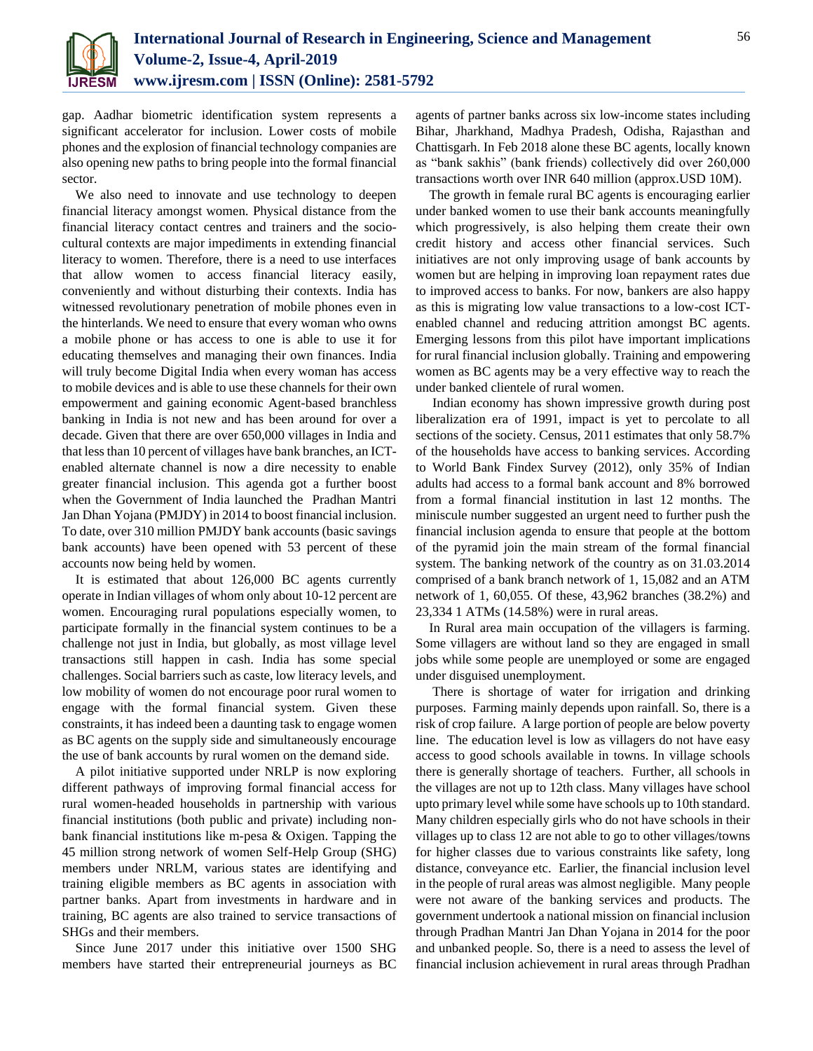

gap. Aadhar biometric identification system represents a significant accelerator for inclusion. Lower costs of mobile phones and the explosion of financial technology companies are also opening new paths to bring people into the formal financial sector.

We also need to innovate and use technology to deepen financial literacy amongst women. Physical distance from the financial literacy contact centres and trainers and the sociocultural contexts are major impediments in extending financial literacy to women. Therefore, there is a need to use interfaces that allow women to access financial literacy easily, conveniently and without disturbing their contexts. India has witnessed revolutionary penetration of mobile phones even in the hinterlands. We need to ensure that every woman who owns a mobile phone or has access to one is able to use it for educating themselves and managing their own finances. India will truly become Digital India when every woman has access to mobile devices and is able to use these channels for their own empowerment and gaining economic Agent-based branchless banking in India is not new and has been around for over a decade. Given that there are over 650,000 villages in India and that less than 10 percent of villages have bank branches, an ICTenabled alternate channel is now a dire necessity to enable greater financial inclusion. This agenda got a further boost when the Government of India launched the Pradhan Mantri Jan Dhan Yojana (PMJDY) in 2014 to boost financial inclusion. To date, over 310 million PMJDY bank accounts (basic savings bank accounts) have been opened with 53 percent of these accounts now being held by women.

It is estimated that about 126,000 BC agents currently operate in Indian villages of whom only about 10-12 percent are women. Encouraging rural populations especially women, to participate formally in the financial system continues to be a challenge not just in India, but globally, as most village level transactions still happen in cash. India has some special challenges. Social barriers such as caste, low literacy levels, and low mobility of women do not encourage poor rural women to engage with the formal financial system. Given these constraints, it has indeed been a daunting task to engage women as BC agents on the supply side and simultaneously encourage the use of bank accounts by rural women on the demand side.

A pilot initiative supported under NRLP is now exploring different pathways of improving formal financial access for rural women-headed households in partnership with various financial institutions (both public and private) including nonbank financial institutions like m-pesa & Oxigen. Tapping the 45 million strong network of women Self-Help Group (SHG) members under NRLM, various states are identifying and training eligible members as BC agents in association with partner banks. Apart from investments in hardware and in training, BC agents are also trained to service transactions of SHGs and their members.

Since June 2017 under this initiative over 1500 SHG members have started their entrepreneurial journeys as BC agents of partner banks across six low-income states including Bihar, Jharkhand, Madhya Pradesh, Odisha, Rajasthan and Chattisgarh. In Feb 2018 alone these BC agents, locally known as "bank sakhis" (bank friends) collectively did over 260,000 transactions worth over INR 640 million (approx.USD 10M).

The growth in female rural BC agents is encouraging earlier under banked women to use their bank accounts meaningfully which progressively, is also helping them create their own credit history and access other financial services. Such initiatives are not only improving usage of bank accounts by women but are helping in improving loan repayment rates due to improved access to banks. For now, bankers are also happy as this is migrating low value transactions to a low-cost ICTenabled channel and reducing attrition amongst BC agents. Emerging lessons from this pilot have important implications for rural financial inclusion globally. Training and empowering women as BC agents may be a very effective way to reach the under banked clientele of rural women.

Indian economy has shown impressive growth during post liberalization era of 1991, impact is yet to percolate to all sections of the society. Census, 2011 estimates that only 58.7% of the households have access to banking services. According to World Bank Findex Survey (2012), only 35% of Indian adults had access to a formal bank account and 8% borrowed from a formal financial institution in last 12 months. The miniscule number suggested an urgent need to further push the financial inclusion agenda to ensure that people at the bottom of the pyramid join the main stream of the formal financial system. The banking network of the country as on 31.03.2014 comprised of a bank branch network of 1, 15,082 and an ATM network of 1, 60,055. Of these, 43,962 branches (38.2%) and 23,334 1 ATMs (14.58%) were in rural areas.

In Rural area main occupation of the villagers is farming. Some villagers are without land so they are engaged in small jobs while some people are unemployed or some are engaged under disguised unemployment.

There is shortage of water for irrigation and drinking purposes. Farming mainly depends upon rainfall. So, there is a risk of crop failure. A large portion of people are below poverty line. The education level is low as villagers do not have easy access to good schools available in towns. In village schools there is generally shortage of teachers. Further, all schools in the villages are not up to 12th class. Many villages have school upto primary level while some have schools up to 10th standard. Many children especially girls who do not have schools in their villages up to class 12 are not able to go to other villages/towns for higher classes due to various constraints like safety, long distance, conveyance etc. Earlier, the financial inclusion level in the people of rural areas was almost negligible. Many people were not aware of the banking services and products. The government undertook a national mission on financial inclusion through Pradhan Mantri Jan Dhan Yojana in 2014 for the poor and unbanked people. So, there is a need to assess the level of financial inclusion achievement in rural areas through Pradhan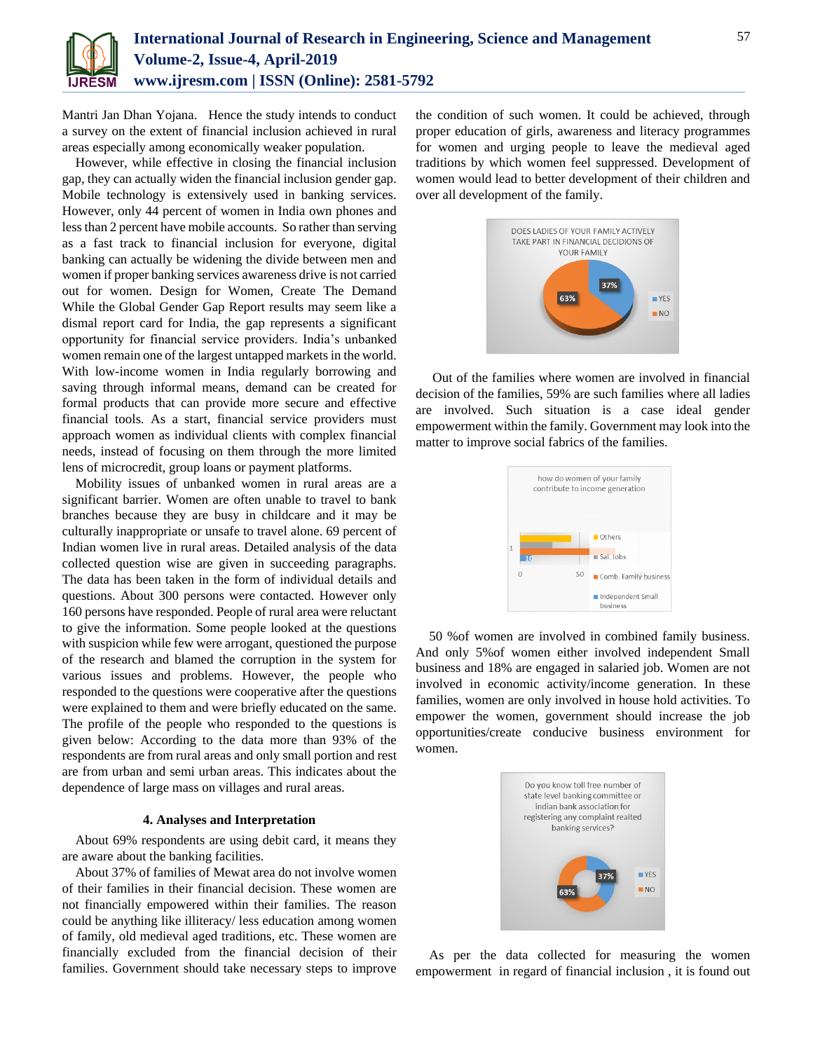

Mantri Jan Dhan Yojana. Hence the study intends to conduct a survey on the extent of financial inclusion achieved in rural areas especially among economically weaker population.

However, while effective in closing the financial inclusion gap, they can actually widen the financial inclusion gender gap. Mobile technology is extensively used in banking services. However, only 44 percent of women in India own phones and less than 2 percent have mobile accounts. So rather than serving as a fast track to financial inclusion for everyone, digital banking can actually be widening the divide between men and women if proper banking services awareness drive is not carried out for women. Design for Women, Create The Demand While the Global Gender Gap Report results may seem like a dismal report card for India, the gap represents a significant opportunity for financial service providers. India's unbanked women remain one of the largest untapped markets in the world. With low-income women in India regularly borrowing and saving through informal means, demand can be created for formal products that can provide more secure and effective financial tools. As a start, financial service providers must approach women as individual clients with complex financial needs, instead of focusing on them through the more limited lens of microcredit, group loans or payment platforms.

Mobility issues of unbanked women in rural areas are a significant barrier. Women are often unable to travel to bank branches because they are busy in childcare and it may be culturally inappropriate or unsafe to travel alone. 69 percent of Indian women live in rural areas. Detailed analysis of the data collected question wise are given in succeeding paragraphs. The data has been taken in the form of individual details and questions. About 300 persons were contacted. However only 160 persons have responded. People of rural area were reluctant to give the information. Some people looked at the questions with suspicion while few were arrogant, questioned the purpose of the research and blamed the corruption in the system for various issues and problems. However, the people who responded to the questions were cooperative after the questions were explained to them and were briefly educated on the same. The profile of the people who responded to the questions is given below: According to the data more than 93% of the respondents are from rural areas and only small portion and rest are from urban and semi urban areas. This indicates about the dependence of large mass on villages and rural areas.

#### **4. Analyses and Interpretation**

About 69% respondents are using debit card, it means they are aware about the banking facilities.

About 37% of families of Mewat area do not involve women of their families in their financial decision. These women are not financially empowered within their families. The reason could be anything like illiteracy/ less education among women of family, old medieval aged traditions, etc. These women are financially excluded from the financial decision of their families. Government should take necessary steps to improve the condition of such women. It could be achieved, through proper education of girls, awareness and literacy programmes for women and urging people to leave the medieval aged traditions by which women feel suppressed. Development of women would lead to better development of their children and over all development of the family.



Out of the families where women are involved in financial decision of the families, 59% are such families where all ladies are involved. Such situation is a case ideal gender empowerment within the family. Government may look into the matter to improve social fabrics of the families.



50 %of women are involved in combined family business. And only 5%of women either involved independent Small business and 18% are engaged in salaried job. Women are not involved in economic activity/income generation. In these families, women are only involved in house hold activities. To empower the women, government should increase the job opportunities/create conducive business environment for women.



As per the data collected for measuring the women empowerment in regard of financial inclusion , it is found out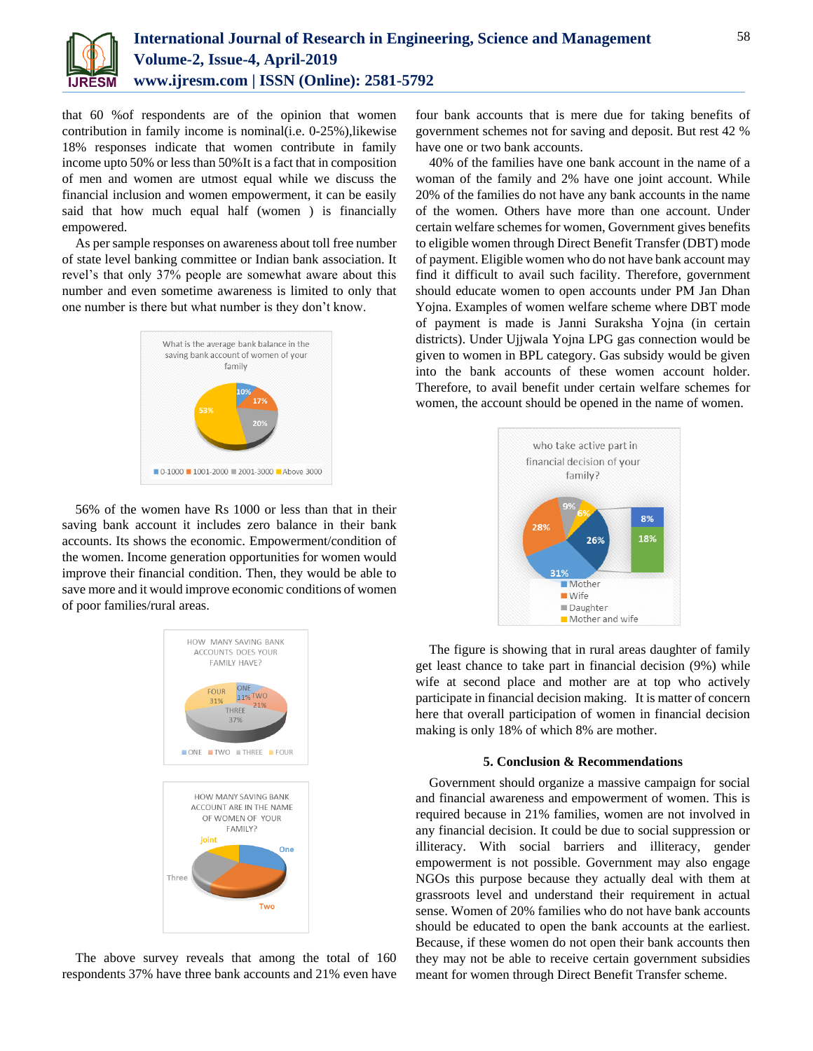

that 60 %of respondents are of the opinion that women contribution in family income is nominal(i.e. 0-25%), likewise 18% responses indicate that women contribute in family income upto 50% or less than 50%It is a fact that in composition of men and women are utmost equal while we discuss the financial inclusion and women empowerment, it can be easily said that how much equal half (women ) is financially empowered.

As per sample responses on awareness about toll free number of state level banking committee or Indian bank association. It revel's that only 37% people are somewhat aware about this number and even sometime awareness is limited to only that one number is there but what number is they don't know.



56% of the women have Rs 1000 or less than that in their saving bank account it includes zero balance in their bank accounts. Its shows the economic. Empowerment/condition of the women. Income generation opportunities for women would improve their financial condition. Then, they would be able to save more and it would improve economic conditions of women of poor families/rural areas.



The above survey reveals that among the total of 160 respondents 37% have three bank accounts and 21% even have

four bank accounts that is mere due for taking benefits of government schemes not for saving and deposit. But rest 42 % have one or two bank accounts.

40% of the families have one bank account in the name of a woman of the family and 2% have one joint account. While 20% of the families do not have any bank accounts in the name of the women. Others have more than one account. Under certain welfare schemes for women, Government gives benefits to eligible women through Direct Benefit Transfer (DBT) mode of payment. Eligible women who do not have bank account may find it difficult to avail such facility. Therefore, government should educate women to open accounts under PM Jan Dhan Yojna. Examples of women welfare scheme where DBT mode of payment is made is Janni Suraksha Yojna (in certain districts). Under Ujjwala Yojna LPG gas connection would be given to women in BPL category. Gas subsidy would be given into the bank accounts of these women account holder. Therefore, to avail benefit under certain welfare schemes for women, the account should be opened in the name of women.



The figure is showing that in rural areas daughter of family get least chance to take part in financial decision (9%) while wife at second place and mother are at top who actively participate in financial decision making. It is matter of concern here that overall participation of women in financial decision making is only 18% of which 8% are mother.

#### **5. Conclusion & Recommendations**

Government should organize a massive campaign for social and financial awareness and empowerment of women. This is required because in 21% families, women are not involved in any financial decision. It could be due to social suppression or illiteracy. With social barriers and illiteracy, gender empowerment is not possible. Government may also engage NGOs this purpose because they actually deal with them at grassroots level and understand their requirement in actual sense. Women of 20% families who do not have bank accounts should be educated to open the bank accounts at the earliest. Because, if these women do not open their bank accounts then they may not be able to receive certain government subsidies meant for women through Direct Benefit Transfer scheme.